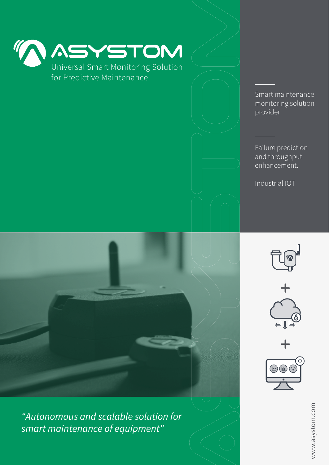

Universal Smart Monitoring Solution for Predictive Maintenance

> Smart maintenance monitoring solution provider

Failure prediction and throughput enhancement.

Industrial IOT





*"Autonomous and scalable solution for smart maintenance of equipment"*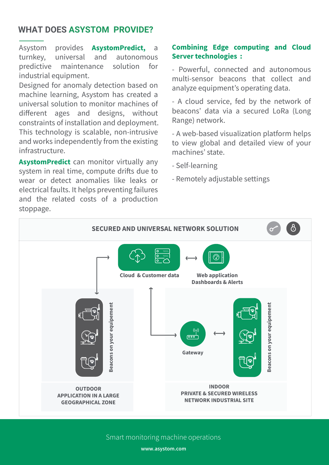# **WHAT DOES ASYSTOM PROVIDE?**

Asystom provides **AsystomPredict,** a turnkey, universal and autonomous predictive maintenance solution for industrial equipment.

Designed for anomaly detection based on machine learning, Asystom has created a universal solution to monitor machines of different ages and designs, without constraints of installation and deployment. This technology is scalable, non-intrusive and works independently from the existing infrastructure.

**AsystomPredict** can monitor virtually any system in real time, compute drifts due to wear or detect anomalies like leaks or electrical faults. It helps preventing failures and the related costs of a production stoppage.

## **Combining Edge computing and Cloud Server technologies :**

- Powerful, connected and autonomous multi-sensor beacons that collect and analyze equipment's operating data.

- A cloud service, fed by the network of beacons' data via a secured LoRa (Long Range) network.

- A web-based visualization platform helps to view global and detailed view of your machines' state.

- Self-learning
- Remotely adjustable settings



Smart monitoring machine operations

**www.asystom.com**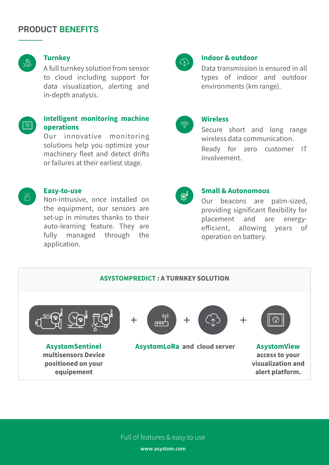## **PRODUCT BENEFITS**



### **Turnkey**

A full turnkey solution from sensor to cloud including support for data visualization, alerting and in-depth analysis.



### **Intelligent monitoring machine operations**

Our innovative monitoring solutions help you optimize your machinery fleet and detect drifts or failures at their earliest stage.



#### **Easy-to-use**

Non-intrusive, once installed on the equipment, our sensors are set-up in minutes thanks to their auto-learning feature. They are fully managed through the application.



#### **Indoor & outdoor**

Data transmission is ensured in all types of indoor and outdoor environments (km range).



## **Wireless**

Secure short and long range wireless data communication.

Ready for zero customer IT involvement.



#### **Small & Autonomous**

Our beacons are palm-sized, providing significant flexibility for placement and are energyefficient, allowing years of operation on battery.